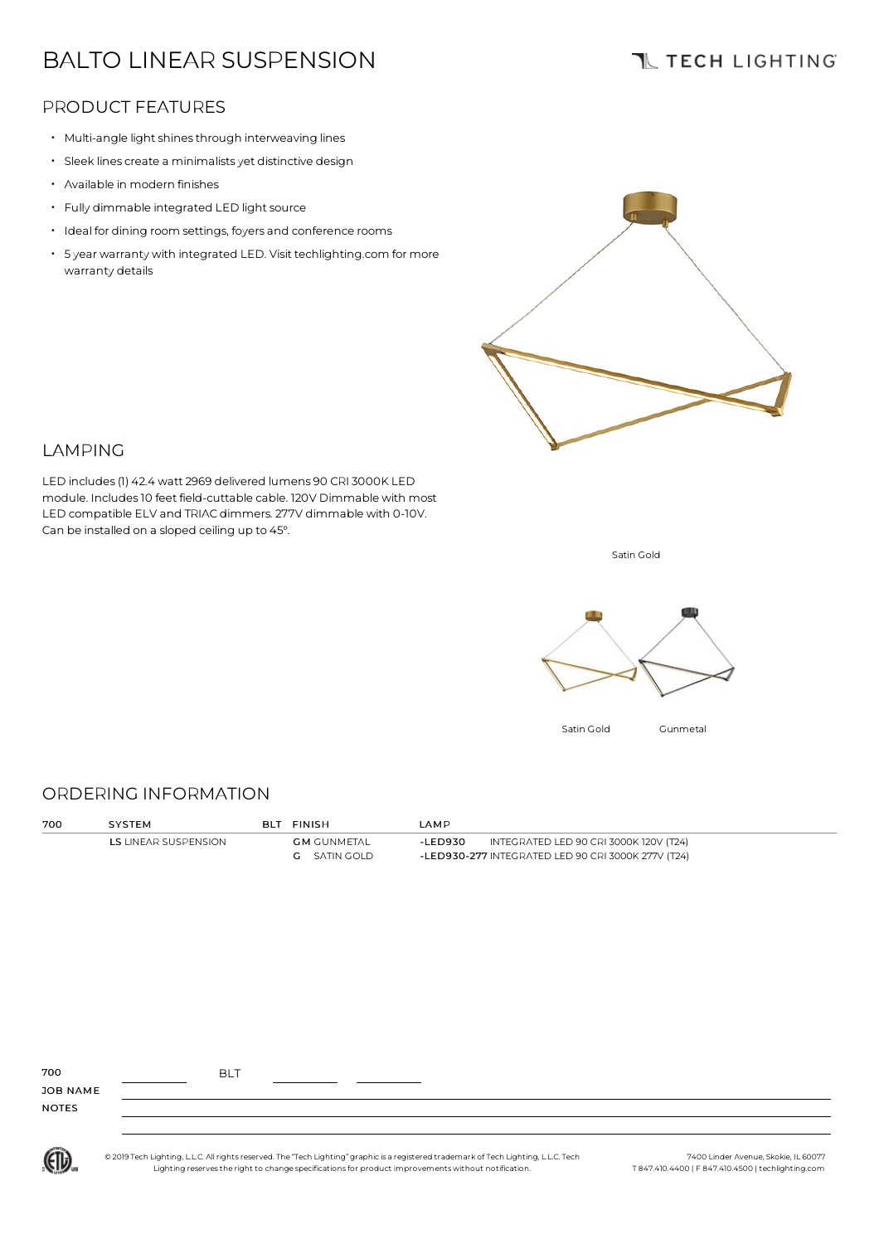# BALTO LINEAR SUSPENSION

## **TL TECH LIGHTING**

### PRODUCT FEATURES

- Multi-angle light shines through interweaving lines
- Sleek lines create <sup>a</sup> minimalistsyet distinctive design
- Available in modern finishes
- Fully dimmable integrated LED light source
- Ideal for dining room settings, foyers and conference rooms
- 5 year warranty with integrated LED. Visit techlighting.com for more warranty details



### LAMPING

LED includes(1) 42.4 watt 2969 delivered lumens 90 CRI 3000K LED module. Includes10 feet field-cuttable cable. 120V Dimmable with most LED compatible ELV and TRIAC dimmers. 277V dimmable with 0-10V. Can be installed on a sloped ceiling up to 45°.

Satin Gold



#### ORDERING INFORMATION

| 700 | <b>SYSTEM</b>        | <b>BLT FINISH</b>   | LAM P   |                                                    |  |
|-----|----------------------|---------------------|---------|----------------------------------------------------|--|
|     | LS LINEAR SUSPENSION | <b>GM</b> GUNMETAL  | -LED930 | INTEGRATED LED 90 CRI 3000K 120V (T24)             |  |
|     |                      | <b>G</b> SATIN GOLD |         | -LED930-277 INTEGRATED LED 90 CRI 3000K 277V (T24) |  |
|     |                      |                     |         |                                                    |  |

| 700             | <b>BLT</b> |  |  |
|-----------------|------------|--|--|
| <b>JOB NAME</b> |            |  |  |
| <b>NOTES</b>    |            |  |  |

(ETL)

© 2019 Tech Lighting, L.L.C. All rightsreserved. The "Tech Lighting" graphic is a registered trademark of Tech Lighting, L.L.C. Tech Lighting reservesthe right to change specificationsfor product improvementswithout notification.

7400 Linder Avenue, Skokie, IL 60077 T 847.410.4400 | F 847.410.4500 | techlighting.com